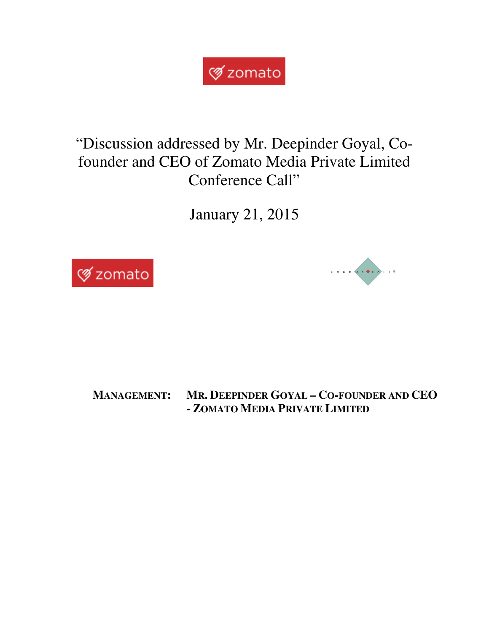

## "Discussion addressed by Mr. Deepinder Goyal, Cofounder and CEO of Zomato Media Private Limited Conference Call"

January 21, 2015





**MANAGEMENT: MR. DEEPINDER GOYAL – CO-FOUNDER AND CEO - ZOMATO MEDIA PRIVATE LIMITED**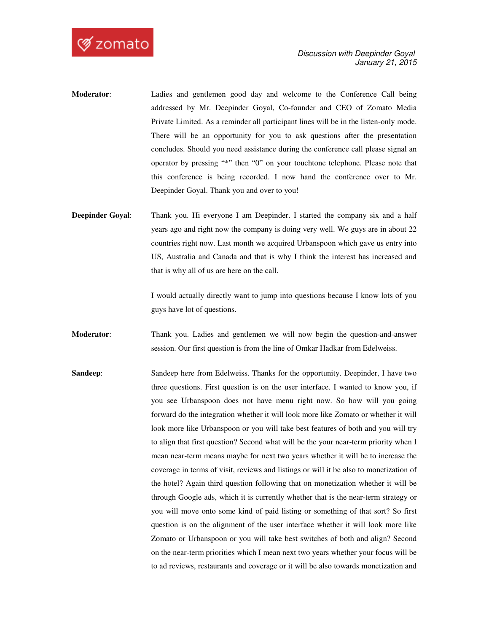

- **Moderator**: Ladies and gentlemen good day and welcome to the Conference Call being addressed by Mr. Deepinder Goyal, Co-founder and CEO of Zomato Media Private Limited. As a reminder all participant lines will be in the listen-only mode. There will be an opportunity for you to ask questions after the presentation concludes. Should you need assistance during the conference call please signal an operator by pressing "\*" then "0" on your touchtone telephone. Please note that this conference is being recorded. I now hand the conference over to Mr. Deepinder Goyal. Thank you and over to you!
- **Deepinder Goyal:** Thank you. Hi everyone I am Deepinder. I started the company six and a half years ago and right now the company is doing very well. We guys are in about 22 countries right now. Last month we acquired Urbanspoon which gave us entry into US, Australia and Canada and that is why I think the interest has increased and that is why all of us are here on the call.

 I would actually directly want to jump into questions because I know lots of you guys have lot of questions.

**Moderator**: Thank you. Ladies and gentlemen we will now begin the question-and-answer session. Our first question is from the line of Omkar Hadkar from Edelweiss.

**Sandeep:** Sandeep here from Edelweiss. Thanks for the opportunity. Deepinder, I have two three questions. First question is on the user interface. I wanted to know you, if you see Urbanspoon does not have menu right now. So how will you going forward do the integration whether it will look more like Zomato or whether it will look more like Urbanspoon or you will take best features of both and you will try to align that first question? Second what will be the your near-term priority when I mean near-term means maybe for next two years whether it will be to increase the coverage in terms of visit, reviews and listings or will it be also to monetization of the hotel? Again third question following that on monetization whether it will be through Google ads, which it is currently whether that is the near-term strategy or you will move onto some kind of paid listing or something of that sort? So first question is on the alignment of the user interface whether it will look more like Zomato or Urbanspoon or you will take best switches of both and align? Second on the near-term priorities which I mean next two years whether your focus will be to ad reviews, restaurants and coverage or it will be also towards monetization and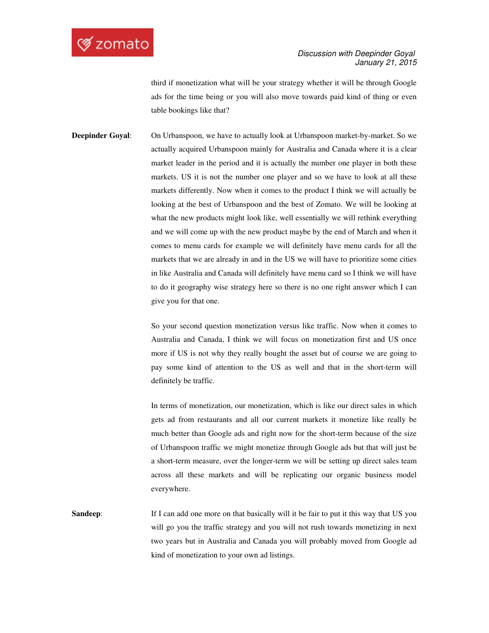## **Ø** zomato

third if monetization what will be your strategy whether it will be through Google ads for the time being or you will also move towards paid kind of thing or even table bookings like that?

**Deepinder Goyal**: On Urbanspoon, we have to actually look at Urbanspoon market-by-market. So we actually acquired Urbanspoon mainly for Australia and Canada where it is a clear market leader in the period and it is actually the number one player in both these markets. US it is not the number one player and so we have to look at all these markets differently. Now when it comes to the product I think we will actually be looking at the best of Urbanspoon and the best of Zomato. We will be looking at what the new products might look like, well essentially we will rethink everything and we will come up with the new product maybe by the end of March and when it comes to menu cards for example we will definitely have menu cards for all the markets that we are already in and in the US we will have to prioritize some cities in like Australia and Canada will definitely have menu card so I think we will have to do it geography wise strategy here so there is no one right answer which I can give you for that one.

> So your second question monetization versus like traffic. Now when it comes to Australia and Canada, I think we will focus on monetization first and US once more if US is not why they really bought the asset but of course we are going to pay some kind of attention to the US as well and that in the short-term will definitely be traffic.

> In terms of monetization, our monetization, which is like our direct sales in which gets ad from restaurants and all our current markets it monetize like really be much better than Google ads and right now for the short-term because of the size of Urbanspoon traffic we might monetize through Google ads but that will just be a short-term measure, over the longer-term we will be setting up direct sales team across all these markets and will be replicating our organic business model everywhere.

**Sandeep:** If I can add one more on that basically will it be fair to put it this way that US you will go you the traffic strategy and you will not rush towards monetizing in next two years but in Australia and Canada you will probably moved from Google ad kind of monetization to your own ad listings.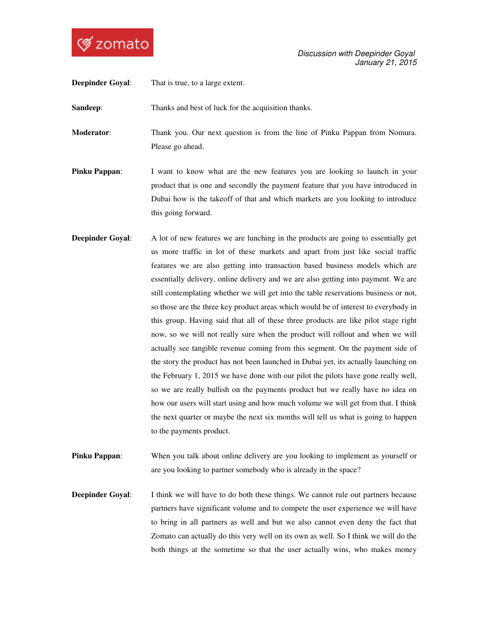

| <b>Deepinder Goyal:</b> | That is true, to a large extent.                                                                                                                                                                                                                                         |
|-------------------------|--------------------------------------------------------------------------------------------------------------------------------------------------------------------------------------------------------------------------------------------------------------------------|
| Sandeep:                | Thanks and best of luck for the acquisition thanks.                                                                                                                                                                                                                      |
| <b>Moderator:</b>       | Thank you. Our next question is from the line of Pinku Pappan from Nomura.<br>Please go ahead.                                                                                                                                                                           |
| <b>Pinku Pappan:</b>    | I want to know what are the new features you are looking to launch in your<br>product that is one and secondly the payment feature that you have introduced in<br>Dubai how is the takeoff of that and which markets are you looking to introduce<br>this going forward. |
| <b>Deepinder Goyal:</b> | A lot of new features we are lunching in the products are going to essentially get<br>us more traffic in lot of these markets and apart from just like social traffic                                                                                                    |

- us more traffic in lot of these markets and apart from just like social traffic features we are also getting into transaction based business models which are essentially delivery, online delivery and we are also getting into payment. We are still contemplating whether we will get into the table reservations business or not, so those are the three key product areas which would be of interest to everybody in this group. Having said that all of these three products are like pilot stage right now, so we will not really sure when the product will rollout and when we will actually see tangible revenue coming from this segment. On the payment side of the story the product has not been launched in Dubai yet, its actually launching on the February 1, 2015 we have done with our pilot the pilots have gone really well, so we are really bullish on the payments product but we really have no idea on how our users will start using and how much volume we will get from that. I think the next quarter or maybe the next six months will tell us what is going to happen to the payments product.
- **Pinku Pappan:** When you talk about online delivery are you looking to implement as yourself or are you looking to partner somebody who is already in the space?
- **Deepinder Goyal:** I think we will have to do both these things. We cannot rule out partners because partners have significant volume and to compete the user experience we will have to bring in all partners as well and but we also cannot even deny the fact that Zomato can actually do this very well on its own as well. So I think we will do the both things at the sometime so that the user actually wins, who makes money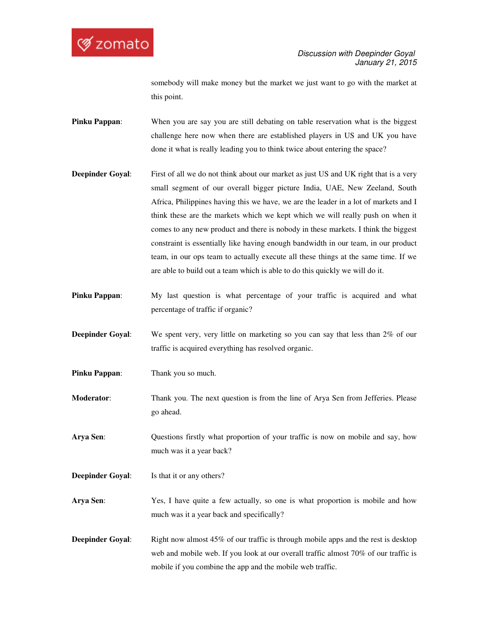

somebody will make money but the market we just want to go with the market at this point.

- **Pinku Pappan:** When you are say you are still debating on table reservation what is the biggest challenge here now when there are established players in US and UK you have done it what is really leading you to think twice about entering the space?
- **Deepinder Goyal:** First of all we do not think about our market as just US and UK right that is a very small segment of our overall bigger picture India, UAE, New Zeeland, South Africa, Philippines having this we have, we are the leader in a lot of markets and I think these are the markets which we kept which we will really push on when it comes to any new product and there is nobody in these markets. I think the biggest constraint is essentially like having enough bandwidth in our team, in our product team, in our ops team to actually execute all these things at the same time. If we are able to build out a team which is able to do this quickly we will do it.
- **Pinku Pappan:** My last question is what percentage of your traffic is acquired and what percentage of traffic if organic?
- **Deepinder Goyal:** We spent very, very little on marketing so you can say that less than 2% of our traffic is acquired everything has resolved organic.
- **Pinku Pappan:** Thank you so much.
- **Moderator:** Thank you. The next question is from the line of Arya Sen from Jefferies. Please go ahead.
- **Arya Sen**: Questions firstly what proportion of your traffic is now on mobile and say, how much was it a year back?
- **Deepinder Goyal:** Is that it or any others?
- **Arya Sen**: Yes, I have quite a few actually, so one is what proportion is mobile and how much was it a year back and specifically?
- **Deepinder Goyal:** Right now almost 45% of our traffic is through mobile apps and the rest is desktop web and mobile web. If you look at our overall traffic almost 70% of our traffic is mobile if you combine the app and the mobile web traffic.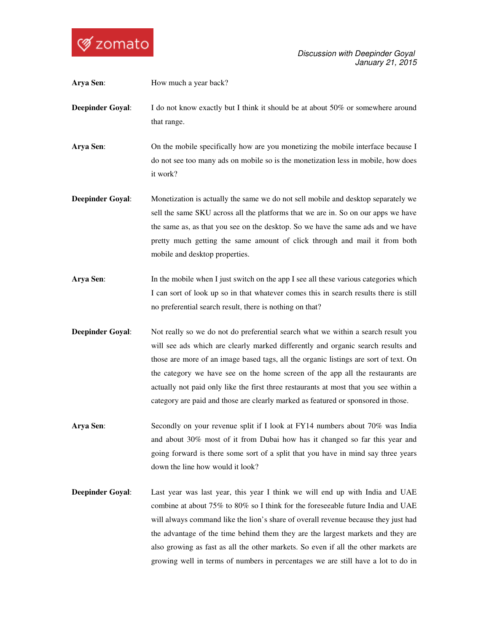

 Discussion with Deepinder Goyal January 21, 2015

| Arya Sen:               | How much a year back?                                                                                                                                                                                                                                                                                                                                                                                                                                                                                                         |
|-------------------------|-------------------------------------------------------------------------------------------------------------------------------------------------------------------------------------------------------------------------------------------------------------------------------------------------------------------------------------------------------------------------------------------------------------------------------------------------------------------------------------------------------------------------------|
| <b>Deepinder Goyal:</b> | I do not know exactly but I think it should be at about 50% or somewhere around<br>that range.                                                                                                                                                                                                                                                                                                                                                                                                                                |
| Arya Sen:               | On the mobile specifically how are you monetizing the mobile interface because I<br>do not see too many ads on mobile so is the monetization less in mobile, how does<br>it work?                                                                                                                                                                                                                                                                                                                                             |
| <b>Deepinder Goyal:</b> | Monetization is actually the same we do not sell mobile and desktop separately we<br>sell the same SKU across all the platforms that we are in. So on our apps we have<br>the same as, as that you see on the desktop. So we have the same ads and we have<br>pretty much getting the same amount of click through and mail it from both<br>mobile and desktop properties.                                                                                                                                                    |
| Arya Sen:               | In the mobile when I just switch on the app I see all these various categories which<br>I can sort of look up so in that whatever comes this in search results there is still<br>no preferential search result, there is nothing on that?                                                                                                                                                                                                                                                                                     |
| <b>Deepinder Goyal:</b> | Not really so we do not do preferential search what we within a search result you<br>will see ads which are clearly marked differently and organic search results and<br>those are more of an image based tags, all the organic listings are sort of text. On<br>the category we have see on the home screen of the app all the restaurants are<br>actually not paid only like the first three restaurants at most that you see within a<br>category are paid and those are clearly marked as featured or sponsored in those. |
| Arya Sen:               | Secondly on your revenue split if I look at FY14 numbers about 70% was India<br>and about 30% most of it from Dubai how has it changed so far this year and<br>going forward is there some sort of a split that you have in mind say three years<br>down the line how would it look?                                                                                                                                                                                                                                          |
| <b>Deepinder Goyal:</b> | Last year was last year, this year I think we will end up with India and UAE<br>combine at about 75% to 80% so I think for the foreseeable future India and UAE                                                                                                                                                                                                                                                                                                                                                               |

will always command like the lion's share of overall revenue because they just had the advantage of the time behind them they are the largest markets and they are also growing as fast as all the other markets. So even if all the other markets are growing well in terms of numbers in percentages we are still have a lot to do in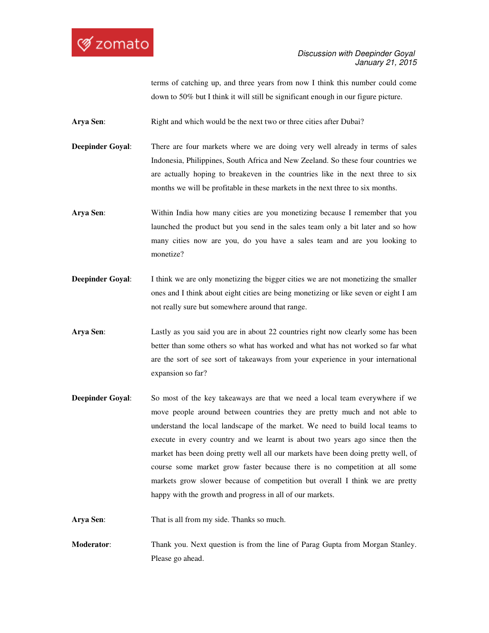terms of catching up, and three years from now I think this number could come down to 50% but I think it will still be significant enough in our figure picture.

**Arya Sen:** Right and which would be the next two or three cities after Dubai?

**Deepinder Goyal:** There are four markets where we are doing very well already in terms of sales Indonesia, Philippines, South Africa and New Zeeland. So these four countries we are actually hoping to breakeven in the countries like in the next three to six months we will be profitable in these markets in the next three to six months.

- **Arya Sen:** Within India how many cities are you monetizing because I remember that you launched the product but you send in the sales team only a bit later and so how many cities now are you, do you have a sales team and are you looking to monetize?
- **Deepinder Goyal:** I think we are only monetizing the bigger cities we are not monetizing the smaller ones and I think about eight cities are being monetizing or like seven or eight I am not really sure but somewhere around that range.
- **Arya Sen**: Lastly as you said you are in about 22 countries right now clearly some has been better than some others so what has worked and what has not worked so far what are the sort of see sort of takeaways from your experience in your international expansion so far?
- **Deepinder Goyal:** So most of the key takeaways are that we need a local team everywhere if we move people around between countries they are pretty much and not able to understand the local landscape of the market. We need to build local teams to execute in every country and we learnt is about two years ago since then the market has been doing pretty well all our markets have been doing pretty well, of course some market grow faster because there is no competition at all some markets grow slower because of competition but overall I think we are pretty happy with the growth and progress in all of our markets.

**Arya Sen**: That is all from my side. Thanks so much.

**Moderator**: Thank you. Next question is from the line of Parag Gupta from Morgan Stanley. Please go ahead.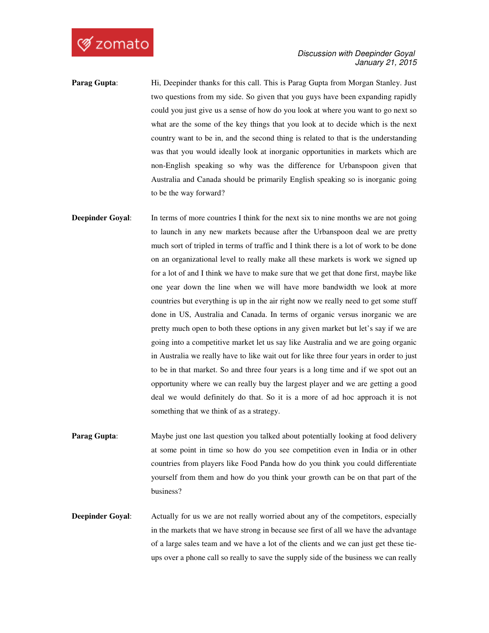

- Parag Gupta: Hi, Deepinder thanks for this call. This is Parag Gupta from Morgan Stanley. Just two questions from my side. So given that you guys have been expanding rapidly could you just give us a sense of how do you look at where you want to go next so what are the some of the key things that you look at to decide which is the next country want to be in, and the second thing is related to that is the understanding was that you would ideally look at inorganic opportunities in markets which are non-English speaking so why was the difference for Urbanspoon given that Australia and Canada should be primarily English speaking so is inorganic going to be the way forward?
- **Deepinder Goyal:** In terms of more countries I think for the next six to nine months we are not going to launch in any new markets because after the Urbanspoon deal we are pretty much sort of tripled in terms of traffic and I think there is a lot of work to be done on an organizational level to really make all these markets is work we signed up for a lot of and I think we have to make sure that we get that done first, maybe like one year down the line when we will have more bandwidth we look at more countries but everything is up in the air right now we really need to get some stuff done in US, Australia and Canada. In terms of organic versus inorganic we are pretty much open to both these options in any given market but let's say if we are going into a competitive market let us say like Australia and we are going organic in Australia we really have to like wait out for like three four years in order to just to be in that market. So and three four years is a long time and if we spot out an opportunity where we can really buy the largest player and we are getting a good deal we would definitely do that. So it is a more of ad hoc approach it is not something that we think of as a strategy.
- **Parag Gupta:** Maybe just one last question you talked about potentially looking at food delivery at some point in time so how do you see competition even in India or in other countries from players like Food Panda how do you think you could differentiate yourself from them and how do you think your growth can be on that part of the business?
- **Deepinder Goyal:** Actually for us we are not really worried about any of the competitors, especially in the markets that we have strong in because see first of all we have the advantage of a large sales team and we have a lot of the clients and we can just get these tieups over a phone call so really to save the supply side of the business we can really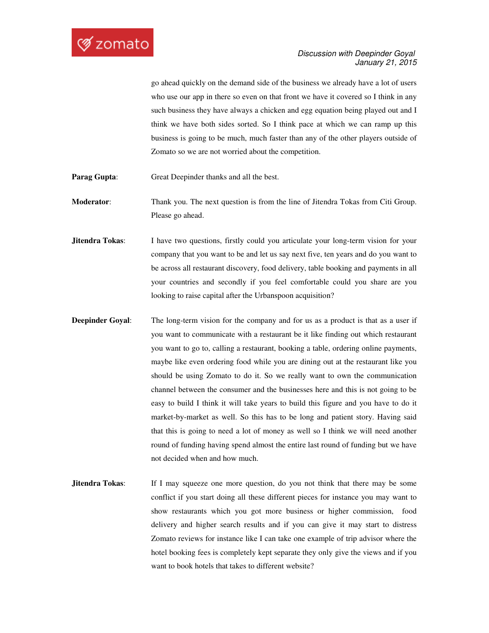go ahead quickly on the demand side of the business we already have a lot of users who use our app in there so even on that front we have it covered so I think in any such business they have always a chicken and egg equation being played out and I think we have both sides sorted. So I think pace at which we can ramp up this business is going to be much, much faster than any of the other players outside of Zomato so we are not worried about the competition.

**Parag Gupta:** Great Deepinder thanks and all the best.

**Moderator:** Thank you. The next question is from the line of Jitendra Tokas from Citi Group. Please go ahead.

- **Jitendra Tokas:** I have two questions, firstly could you articulate your long-term vision for your company that you want to be and let us say next five, ten years and do you want to be across all restaurant discovery, food delivery, table booking and payments in all your countries and secondly if you feel comfortable could you share are you looking to raise capital after the Urbanspoon acquisition?
- **Deepinder Goyal:** The long-term vision for the company and for us as a product is that as a user if you want to communicate with a restaurant be it like finding out which restaurant you want to go to, calling a restaurant, booking a table, ordering online payments, maybe like even ordering food while you are dining out at the restaurant like you should be using Zomato to do it. So we really want to own the communication channel between the consumer and the businesses here and this is not going to be easy to build I think it will take years to build this figure and you have to do it market-by-market as well. So this has to be long and patient story. Having said that this is going to need a lot of money as well so I think we will need another round of funding having spend almost the entire last round of funding but we have not decided when and how much.
- **Jitendra Tokas:** If I may squeeze one more question, do you not think that there may be some conflict if you start doing all these different pieces for instance you may want to show restaurants which you got more business or higher commission, food delivery and higher search results and if you can give it may start to distress Zomato reviews for instance like I can take one example of trip advisor where the hotel booking fees is completely kept separate they only give the views and if you want to book hotels that takes to different website?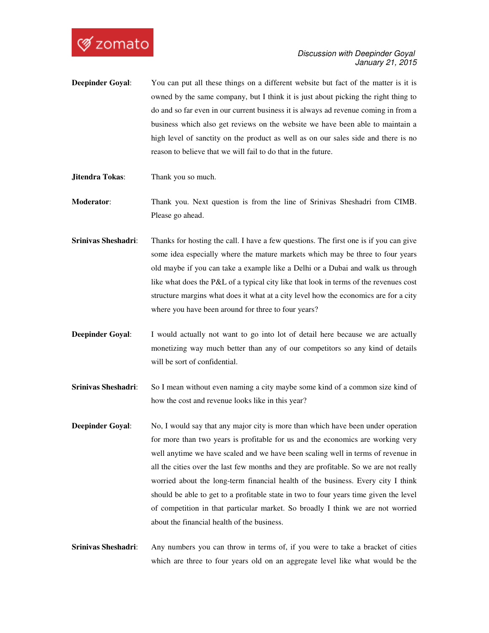- **Deepinder Goyal:** You can put all these things on a different website but fact of the matter is it is owned by the same company, but I think it is just about picking the right thing to do and so far even in our current business it is always ad revenue coming in from a business which also get reviews on the website we have been able to maintain a high level of sanctity on the product as well as on our sales side and there is no reason to believe that we will fail to do that in the future.
- **Jitendra Tokas:** Thank you so much.
- **Moderator**: Thank you. Next question is from the line of Srinivas Sheshadri from CIMB. Please go ahead.
- **Srinivas Sheshadri**: Thanks for hosting the call. I have a few questions. The first one is if you can give some idea especially where the mature markets which may be three to four years old maybe if you can take a example like a Delhi or a Dubai and walk us through like what does the P&L of a typical city like that look in terms of the revenues cost structure margins what does it what at a city level how the economics are for a city where you have been around for three to four years?
- **Deepinder Goyal:** I would actually not want to go into lot of detail here because we are actually monetizing way much better than any of our competitors so any kind of details will be sort of confidential.
- **Srinivas Sheshadri**: So I mean without even naming a city maybe some kind of a common size kind of how the cost and revenue looks like in this year?
- **Deepinder Goyal:** No, I would say that any major city is more than which have been under operation for more than two years is profitable for us and the economics are working very well anytime we have scaled and we have been scaling well in terms of revenue in all the cities over the last few months and they are profitable. So we are not really worried about the long-term financial health of the business. Every city I think should be able to get to a profitable state in two to four years time given the level of competition in that particular market. So broadly I think we are not worried about the financial health of the business.
- **Srinivas Sheshadri**: Any numbers you can throw in terms of, if you were to take a bracket of cities which are three to four years old on an aggregate level like what would be the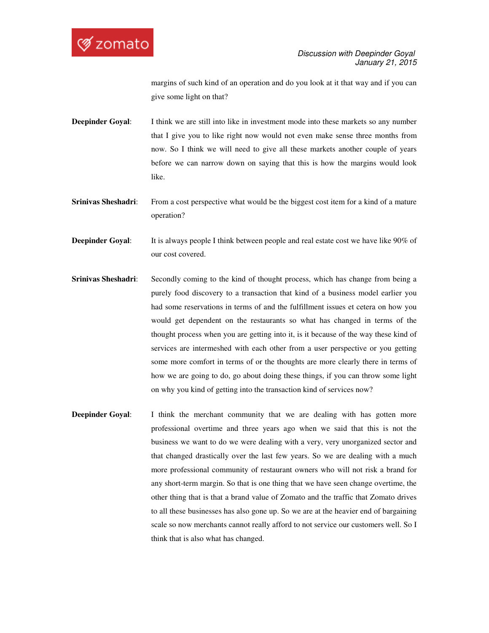

margins of such kind of an operation and do you look at it that way and if you can give some light on that?

- **Deepinder Goyal:** I think we are still into like in investment mode into these markets so any number that I give you to like right now would not even make sense three months from now. So I think we will need to give all these markets another couple of years before we can narrow down on saying that this is how the margins would look like.
- **Srinivas Sheshadri:** From a cost perspective what would be the biggest cost item for a kind of a mature operation?
- **Deepinder Goyal:** It is always people I think between people and real estate cost we have like 90% of our cost covered.
- **Srinivas Sheshadri**: Secondly coming to the kind of thought process, which has change from being a purely food discovery to a transaction that kind of a business model earlier you had some reservations in terms of and the fulfillment issues et cetera on how you would get dependent on the restaurants so what has changed in terms of the thought process when you are getting into it, is it because of the way these kind of services are intermeshed with each other from a user perspective or you getting some more comfort in terms of or the thoughts are more clearly there in terms of how we are going to do, go about doing these things, if you can throw some light on why you kind of getting into the transaction kind of services now?
- **Deepinder Goyal:** I think the merchant community that we are dealing with has gotten more professional overtime and three years ago when we said that this is not the business we want to do we were dealing with a very, very unorganized sector and that changed drastically over the last few years. So we are dealing with a much more professional community of restaurant owners who will not risk a brand for any short-term margin. So that is one thing that we have seen change overtime, the other thing that is that a brand value of Zomato and the traffic that Zomato drives to all these businesses has also gone up. So we are at the heavier end of bargaining scale so now merchants cannot really afford to not service our customers well. So I think that is also what has changed.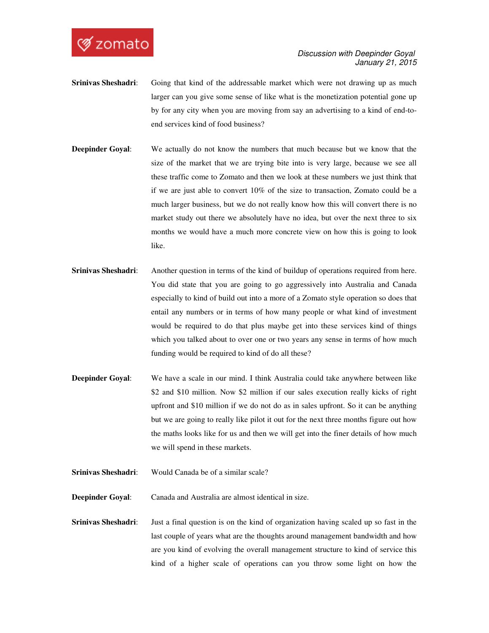

- **Srinivas Sheshadri:** Going that kind of the addressable market which were not drawing up as much larger can you give some sense of like what is the monetization potential gone up by for any city when you are moving from say an advertising to a kind of end-toend services kind of food business?
- **Deepinder Goyal:** We actually do not know the numbers that much because but we know that the size of the market that we are trying bite into is very large, because we see all these traffic come to Zomato and then we look at these numbers we just think that if we are just able to convert 10% of the size to transaction, Zomato could be a much larger business, but we do not really know how this will convert there is no market study out there we absolutely have no idea, but over the next three to six months we would have a much more concrete view on how this is going to look like.
- **Srinivas Sheshadri**: Another question in terms of the kind of buildup of operations required from here. You did state that you are going to go aggressively into Australia and Canada especially to kind of build out into a more of a Zomato style operation so does that entail any numbers or in terms of how many people or what kind of investment would be required to do that plus maybe get into these services kind of things which you talked about to over one or two years any sense in terms of how much funding would be required to kind of do all these?
- **Deepinder Goyal:** We have a scale in our mind. I think Australia could take anywhere between like \$2 and \$10 million. Now \$2 million if our sales execution really kicks of right upfront and \$10 million if we do not do as in sales upfront. So it can be anything but we are going to really like pilot it out for the next three months figure out how the maths looks like for us and then we will get into the finer details of how much we will spend in these markets.
- **Srinivas Sheshadri**: Would Canada be of a similar scale?
- **Deepinder Goyal**: Canada and Australia are almost identical in size.
- **Srinivas Sheshadri**: Just a final question is on the kind of organization having scaled up so fast in the last couple of years what are the thoughts around management bandwidth and how are you kind of evolving the overall management structure to kind of service this kind of a higher scale of operations can you throw some light on how the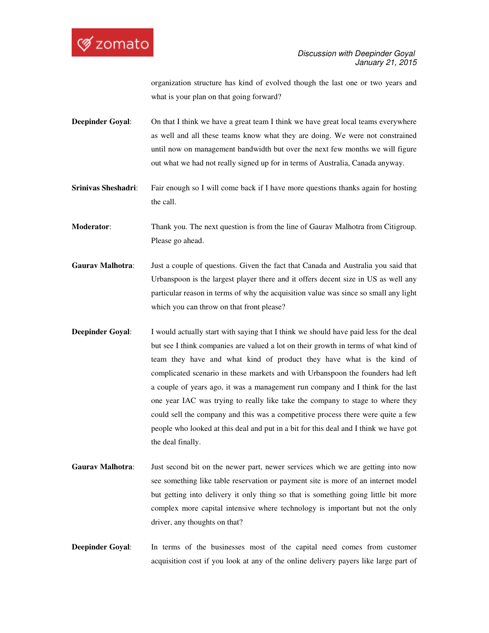

organization structure has kind of evolved though the last one or two years and what is your plan on that going forward?

- **Deepinder Goyal:** On that I think we have a great team I think we have great local teams everywhere as well and all these teams know what they are doing. We were not constrained until now on management bandwidth but over the next few months we will figure out what we had not really signed up for in terms of Australia, Canada anyway.
- **Srinivas Sheshadri:** Fair enough so I will come back if I have more questions thanks again for hosting the call.

**Moderator**: Thank you. The next question is from the line of Gaurav Malhotra from Citigroup. Please go ahead.

- **Gaurav Malhotra**: Just a couple of questions. Given the fact that Canada and Australia you said that Urbanspoon is the largest player there and it offers decent size in US as well any particular reason in terms of why the acquisition value was since so small any light which you can throw on that front please?
- **Deepinder Goyal:** I would actually start with saying that I think we should have paid less for the deal but see I think companies are valued a lot on their growth in terms of what kind of team they have and what kind of product they have what is the kind of complicated scenario in these markets and with Urbanspoon the founders had left a couple of years ago, it was a management run company and I think for the last one year IAC was trying to really like take the company to stage to where they could sell the company and this was a competitive process there were quite a few people who looked at this deal and put in a bit for this deal and I think we have got the deal finally.
- **Gaurav Malhotra**: Just second bit on the newer part, newer services which we are getting into now see something like table reservation or payment site is more of an internet model but getting into delivery it only thing so that is something going little bit more complex more capital intensive where technology is important but not the only driver, any thoughts on that?
- **Deepinder Goyal:** In terms of the businesses most of the capital need comes from customer acquisition cost if you look at any of the online delivery payers like large part of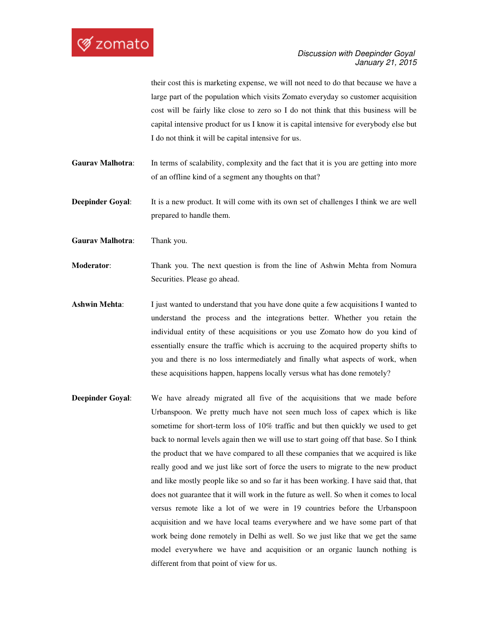their cost this is marketing expense, we will not need to do that because we have a large part of the population which visits Zomato everyday so customer acquisition cost will be fairly like close to zero so I do not think that this business will be capital intensive product for us I know it is capital intensive for everybody else but I do not think it will be capital intensive for us.

Gaurav Malhotra: In terms of scalability, complexity and the fact that it is you are getting into more of an offline kind of a segment any thoughts on that?

**Deepinder Goyal**: It is a new product. It will come with its own set of challenges I think we are well prepared to handle them.

**Gaurav Malhotra**: Thank you.

**Moderator:** Thank you. The next question is from the line of Ashwin Mehta from Nomura Securities. Please go ahead.

- **Ashwin Mehta:** I just wanted to understand that you have done quite a few acquisitions I wanted to understand the process and the integrations better. Whether you retain the individual entity of these acquisitions or you use Zomato how do you kind of essentially ensure the traffic which is accruing to the acquired property shifts to you and there is no loss intermediately and finally what aspects of work, when these acquisitions happen, happens locally versus what has done remotely?
- **Deepinder Goyal:** We have already migrated all five of the acquisitions that we made before Urbanspoon. We pretty much have not seen much loss of capex which is like sometime for short-term loss of 10% traffic and but then quickly we used to get back to normal levels again then we will use to start going off that base. So I think the product that we have compared to all these companies that we acquired is like really good and we just like sort of force the users to migrate to the new product and like mostly people like so and so far it has been working. I have said that, that does not guarantee that it will work in the future as well. So when it comes to local versus remote like a lot of we were in 19 countries before the Urbanspoon acquisition and we have local teams everywhere and we have some part of that work being done remotely in Delhi as well. So we just like that we get the same model everywhere we have and acquisition or an organic launch nothing is different from that point of view for us.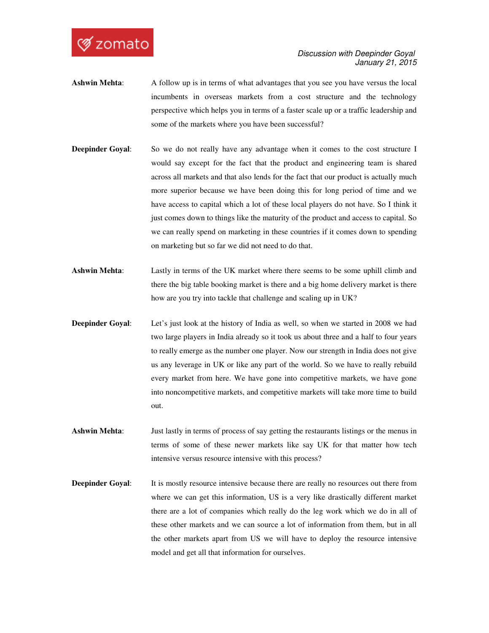

- **Ashwin Mehta**: A follow up is in terms of what advantages that you see you have versus the local incumbents in overseas markets from a cost structure and the technology perspective which helps you in terms of a faster scale up or a traffic leadership and some of the markets where you have been successful?
- **Deepinder Goyal:** So we do not really have any advantage when it comes to the cost structure I would say except for the fact that the product and engineering team is shared across all markets and that also lends for the fact that our product is actually much more superior because we have been doing this for long period of time and we have access to capital which a lot of these local players do not have. So I think it just comes down to things like the maturity of the product and access to capital. So we can really spend on marketing in these countries if it comes down to spending on marketing but so far we did not need to do that.
- **Ashwin Mehta**: Lastly in terms of the UK market where there seems to be some uphill climb and there the big table booking market is there and a big home delivery market is there how are you try into tackle that challenge and scaling up in UK?
- **Deepinder Goyal:** Let's just look at the history of India as well, so when we started in 2008 we had two large players in India already so it took us about three and a half to four years to really emerge as the number one player. Now our strength in India does not give us any leverage in UK or like any part of the world. So we have to really rebuild every market from here. We have gone into competitive markets, we have gone into noncompetitive markets, and competitive markets will take more time to build out.
- **Ashwin Mehta**: Just lastly in terms of process of say getting the restaurants listings or the menus in terms of some of these newer markets like say UK for that matter how tech intensive versus resource intensive with this process?
- **Deepinder Goyal:** It is mostly resource intensive because there are really no resources out there from where we can get this information, US is a very like drastically different market there are a lot of companies which really do the leg work which we do in all of these other markets and we can source a lot of information from them, but in all the other markets apart from US we will have to deploy the resource intensive model and get all that information for ourselves.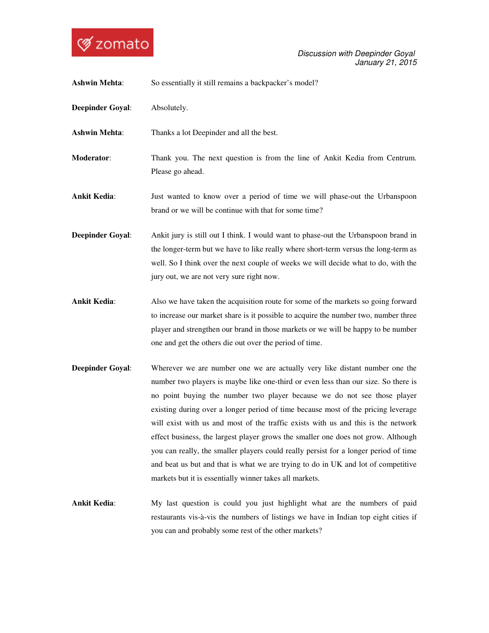

| <b>Ashwin Mehta:</b>    | So essentially it still remains a backpacker's model?                                                                                                                                                                                                                                                                                                                                                                                                                                                                                                                                                                                                                                                                                                |
|-------------------------|------------------------------------------------------------------------------------------------------------------------------------------------------------------------------------------------------------------------------------------------------------------------------------------------------------------------------------------------------------------------------------------------------------------------------------------------------------------------------------------------------------------------------------------------------------------------------------------------------------------------------------------------------------------------------------------------------------------------------------------------------|
| <b>Deepinder Goyal:</b> | Absolutely.                                                                                                                                                                                                                                                                                                                                                                                                                                                                                                                                                                                                                                                                                                                                          |
| <b>Ashwin Mehta:</b>    | Thanks a lot Deepinder and all the best.                                                                                                                                                                                                                                                                                                                                                                                                                                                                                                                                                                                                                                                                                                             |
| Moderator:              | Thank you. The next question is from the line of Ankit Kedia from Centrum.<br>Please go ahead.                                                                                                                                                                                                                                                                                                                                                                                                                                                                                                                                                                                                                                                       |
| <b>Ankit Kedia:</b>     | Just wanted to know over a period of time we will phase-out the Urbanspoon<br>brand or we will be continue with that for some time?                                                                                                                                                                                                                                                                                                                                                                                                                                                                                                                                                                                                                  |
| <b>Deepinder Goyal:</b> | Ankit jury is still out I think. I would want to phase-out the Urbanspoon brand in<br>the longer-term but we have to like really where short-term versus the long-term as<br>well. So I think over the next couple of weeks we will decide what to do, with the<br>jury out, we are not very sure right now.                                                                                                                                                                                                                                                                                                                                                                                                                                         |
| <b>Ankit Kedia:</b>     | Also we have taken the acquisition route for some of the markets so going forward<br>to increase our market share is it possible to acquire the number two, number three<br>player and strengthen our brand in those markets or we will be happy to be number<br>one and get the others die out over the period of time.                                                                                                                                                                                                                                                                                                                                                                                                                             |
| <b>Deepinder Goyal:</b> | Wherever we are number one we are actually very like distant number one the<br>number two players is maybe like one-third or even less than our size. So there is<br>no point buying the number two player because we do not see those player<br>existing during over a longer period of time because most of the pricing leverage<br>will exist with us and most of the traffic exists with us and this is the network<br>effect business, the largest player grows the smaller one does not grow. Although<br>you can really, the smaller players could really persist for a longer period of time<br>and beat us but and that is what we are trying to do in UK and lot of competitive<br>markets but it is essentially winner takes all markets. |

**Ankit Kedia**: My last question is could you just highlight what are the numbers of paid restaurants vis-à-vis the numbers of listings we have in Indian top eight cities if you can and probably some rest of the other markets?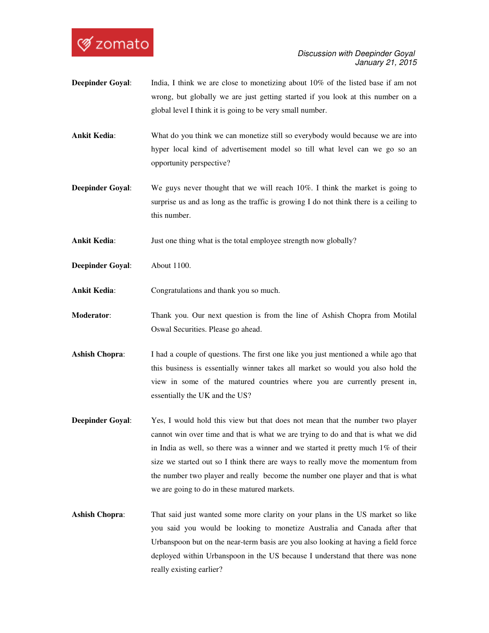

- **Deepinder Goyal:** India, I think we are close to monetizing about 10% of the listed base if am not wrong, but globally we are just getting started if you look at this number on a global level I think it is going to be very small number.
- **Ankit Kedia:** What do you think we can monetize still so everybody would because we are into hyper local kind of advertisement model so till what level can we go so an opportunity perspective?
- **Deepinder Goyal:** We guys never thought that we will reach 10%. I think the market is going to surprise us and as long as the traffic is growing I do not think there is a ceiling to this number.

Ankit Kedia: Just one thing what is the total employee strength now globally?

- **Deepinder Goyal**: About 1100.
- **Ankit Kedia**: Congratulations and thank you so much.
- **Moderator**: Thank you. Our next question is from the line of Ashish Chopra from Motilal Oswal Securities. Please go ahead.
- **Ashish Chopra**: I had a couple of questions. The first one like you just mentioned a while ago that this business is essentially winner takes all market so would you also hold the view in some of the matured countries where you are currently present in, essentially the UK and the US?
- **Deepinder Goyal:** Yes, I would hold this view but that does not mean that the number two player cannot win over time and that is what we are trying to do and that is what we did in India as well, so there was a winner and we started it pretty much 1% of their size we started out so I think there are ways to really move the momentum from the number two player and really become the number one player and that is what we are going to do in these matured markets.
- **Ashish Chopra**: That said just wanted some more clarity on your plans in the US market so like you said you would be looking to monetize Australia and Canada after that Urbanspoon but on the near-term basis are you also looking at having a field force deployed within Urbanspoon in the US because I understand that there was none really existing earlier?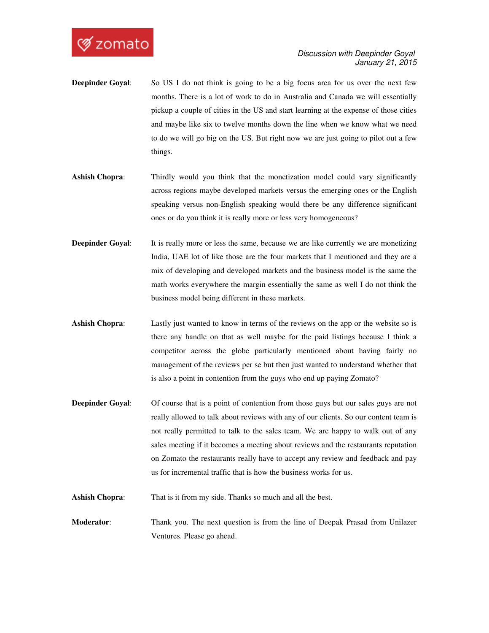

- **Deepinder Goyal:** So US I do not think is going to be a big focus area for us over the next few months. There is a lot of work to do in Australia and Canada we will essentially pickup a couple of cities in the US and start learning at the expense of those cities and maybe like six to twelve months down the line when we know what we need to do we will go big on the US. But right now we are just going to pilot out a few things.
- **Ashish Chopra:** Thirdly would you think that the monetization model could vary significantly across regions maybe developed markets versus the emerging ones or the English speaking versus non-English speaking would there be any difference significant ones or do you think it is really more or less very homogeneous?
- **Deepinder Goyal:** It is really more or less the same, because we are like currently we are monetizing India, UAE lot of like those are the four markets that I mentioned and they are a mix of developing and developed markets and the business model is the same the math works everywhere the margin essentially the same as well I do not think the business model being different in these markets.
- **Ashish Chopra**: Lastly just wanted to know in terms of the reviews on the app or the website so is there any handle on that as well maybe for the paid listings because I think a competitor across the globe particularly mentioned about having fairly no management of the reviews per se but then just wanted to understand whether that is also a point in contention from the guys who end up paying Zomato?
- **Deepinder Goyal:** Of course that is a point of contention from those guys but our sales guys are not really allowed to talk about reviews with any of our clients. So our content team is not really permitted to talk to the sales team. We are happy to walk out of any sales meeting if it becomes a meeting about reviews and the restaurants reputation on Zomato the restaurants really have to accept any review and feedback and pay us for incremental traffic that is how the business works for us.
- Ashish Chopra: That is it from my side. Thanks so much and all the best.

**Moderator**: Thank you. The next question is from the line of Deepak Prasad from Unilazer Ventures. Please go ahead.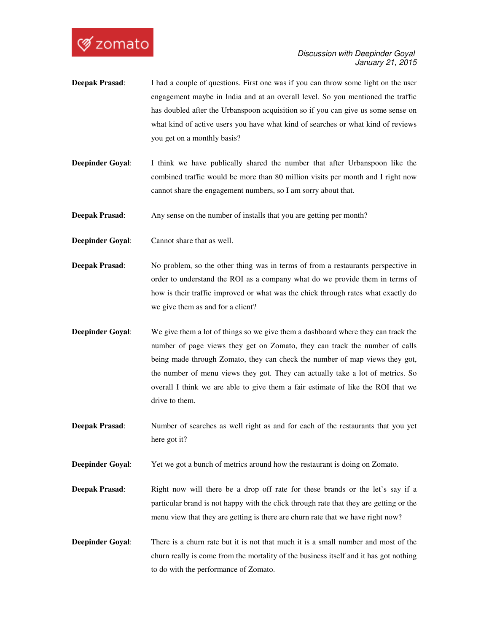

- **Deepak Prasad:** I had a couple of questions. First one was if you can throw some light on the user engagement maybe in India and at an overall level. So you mentioned the traffic has doubled after the Urbanspoon acquisition so if you can give us some sense on what kind of active users you have what kind of searches or what kind of reviews you get on a monthly basis?
- **Deepinder Goyal:** I think we have publically shared the number that after Urbanspoon like the combined traffic would be more than 80 million visits per month and I right now cannot share the engagement numbers, so I am sorry about that.

**Deepak Prasad:** Any sense on the number of installs that you are getting per month?

**Deepinder Goyal**: Cannot share that as well.

- **Deepak Prasad:** No problem, so the other thing was in terms of from a restaurants perspective in order to understand the ROI as a company what do we provide them in terms of how is their traffic improved or what was the chick through rates what exactly do we give them as and for a client?
- **Deepinder Goyal:** We give them a lot of things so we give them a dashboard where they can track the number of page views they get on Zomato, they can track the number of calls being made through Zomato, they can check the number of map views they got, the number of menu views they got. They can actually take a lot of metrics. So overall I think we are able to give them a fair estimate of like the ROI that we drive to them.
- **Deepak Prasad**: Number of searches as well right as and for each of the restaurants that you yet here got it?

**Deepinder Goyal:** Yet we got a bunch of metrics around how the restaurant is doing on Zomato.

- **Deepak Prasad:** Right now will there be a drop off rate for these brands or the let's say if a particular brand is not happy with the click through rate that they are getting or the menu view that they are getting is there are churn rate that we have right now?
- **Deepinder Goyal:** There is a churn rate but it is not that much it is a small number and most of the churn really is come from the mortality of the business itself and it has got nothing to do with the performance of Zomato.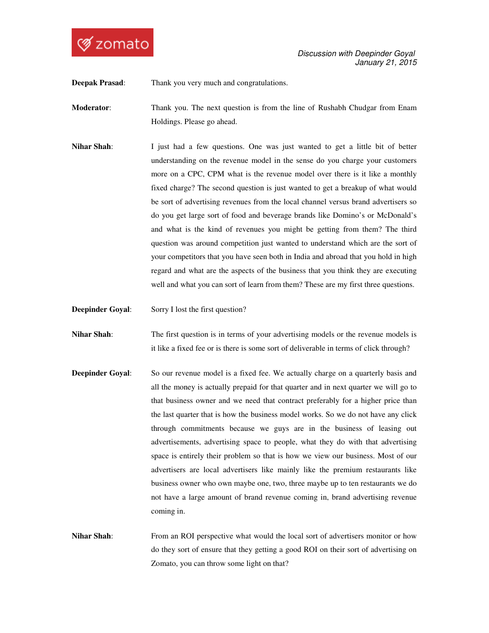

**Deepak Prasad**: Thank you very much and congratulations.

**Moderator:** Thank you. The next question is from the line of Rushabh Chudgar from Enam Holdings. Please go ahead.

- **Nihar Shah**: I just had a few questions. One was just wanted to get a little bit of better understanding on the revenue model in the sense do you charge your customers more on a CPC, CPM what is the revenue model over there is it like a monthly fixed charge? The second question is just wanted to get a breakup of what would be sort of advertising revenues from the local channel versus brand advertisers so do you get large sort of food and beverage brands like Domino's or McDonald's and what is the kind of revenues you might be getting from them? The third question was around competition just wanted to understand which are the sort of your competitors that you have seen both in India and abroad that you hold in high regard and what are the aspects of the business that you think they are executing well and what you can sort of learn from them? These are my first three questions.
- **Deepinder Goyal:** Sorry I lost the first question?

**Nihar Shah**: The first question is in terms of your advertising models or the revenue models is it like a fixed fee or is there is some sort of deliverable in terms of click through?

- **Deepinder Goyal:** So our revenue model is a fixed fee. We actually charge on a quarterly basis and all the money is actually prepaid for that quarter and in next quarter we will go to that business owner and we need that contract preferably for a higher price than the last quarter that is how the business model works. So we do not have any click through commitments because we guys are in the business of leasing out advertisements, advertising space to people, what they do with that advertising space is entirely their problem so that is how we view our business. Most of our advertisers are local advertisers like mainly like the premium restaurants like business owner who own maybe one, two, three maybe up to ten restaurants we do not have a large amount of brand revenue coming in, brand advertising revenue coming in.
- **Nihar Shah**: From an ROI perspective what would the local sort of advertisers monitor or how do they sort of ensure that they getting a good ROI on their sort of advertising on Zomato, you can throw some light on that?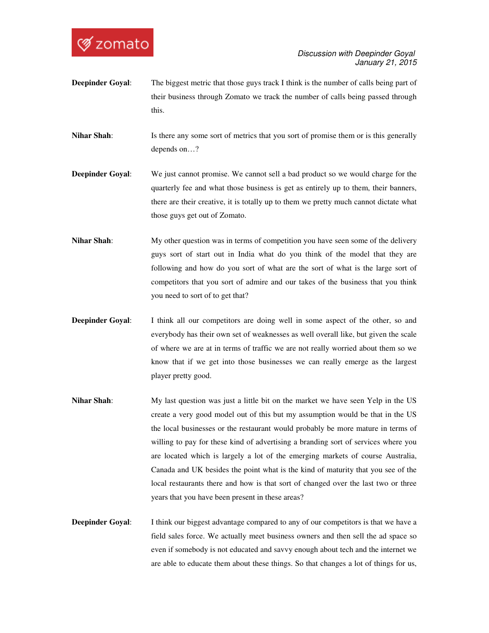

- **Deepinder Goyal:** The biggest metric that those guys track I think is the number of calls being part of their business through Zomato we track the number of calls being passed through this.
- **Nihar Shah**: Is there any some sort of metrics that you sort of promise them or is this generally depends on…?
- **Deepinder Goyal:** We just cannot promise. We cannot sell a bad product so we would charge for the quarterly fee and what those business is get as entirely up to them, their banners, there are their creative, it is totally up to them we pretty much cannot dictate what those guys get out of Zomato.
- **Nihar Shah**: My other question was in terms of competition you have seen some of the delivery guys sort of start out in India what do you think of the model that they are following and how do you sort of what are the sort of what is the large sort of competitors that you sort of admire and our takes of the business that you think you need to sort of to get that?
- **Deepinder Goyal:** I think all our competitors are doing well in some aspect of the other, so and everybody has their own set of weaknesses as well overall like, but given the scale of where we are at in terms of traffic we are not really worried about them so we know that if we get into those businesses we can really emerge as the largest player pretty good.
- **Nihar Shah**: My last question was just a little bit on the market we have seen Yelp in the US create a very good model out of this but my assumption would be that in the US the local businesses or the restaurant would probably be more mature in terms of willing to pay for these kind of advertising a branding sort of services where you are located which is largely a lot of the emerging markets of course Australia, Canada and UK besides the point what is the kind of maturity that you see of the local restaurants there and how is that sort of changed over the last two or three years that you have been present in these areas?
- **Deepinder Goyal:** I think our biggest advantage compared to any of our competitors is that we have a field sales force. We actually meet business owners and then sell the ad space so even if somebody is not educated and savvy enough about tech and the internet we are able to educate them about these things. So that changes a lot of things for us,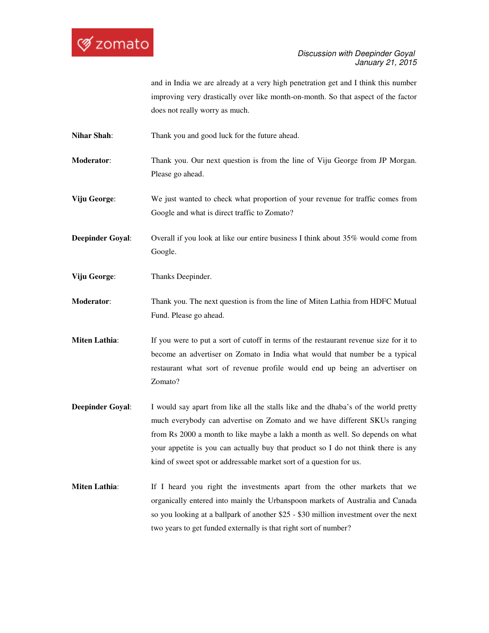

and in India we are already at a very high penetration get and I think this number improving very drastically over like month-on-month. So that aspect of the factor does not really worry as much.

**Nihar Shah**: Thank you and good luck for the future ahead.

**Moderator:** Thank you. Our next question is from the line of Viju George from JP Morgan. Please go ahead.

**Viju George**: We just wanted to check what proportion of your revenue for traffic comes from Google and what is direct traffic to Zomato?

**Deepinder Goyal:** Overall if you look at like our entire business I think about 35% would come from Google.

- **Viju George**: Thanks Deepinder.
- **Moderator**: Thank you. The next question is from the line of Miten Lathia from HDFC Mutual Fund. Please go ahead.

**Miten Lathia:** If you were to put a sort of cutoff in terms of the restaurant revenue size for it to become an advertiser on Zomato in India what would that number be a typical restaurant what sort of revenue profile would end up being an advertiser on Zomato?

- **Deepinder Goyal:** I would say apart from like all the stalls like and the dhaba's of the world pretty much everybody can advertise on Zomato and we have different SKUs ranging from Rs 2000 a month to like maybe a lakh a month as well. So depends on what your appetite is you can actually buy that product so I do not think there is any kind of sweet spot or addressable market sort of a question for us.
- **Miten Lathia**: If I heard you right the investments apart from the other markets that we organically entered into mainly the Urbanspoon markets of Australia and Canada so you looking at a ballpark of another \$25 - \$30 million investment over the next two years to get funded externally is that right sort of number?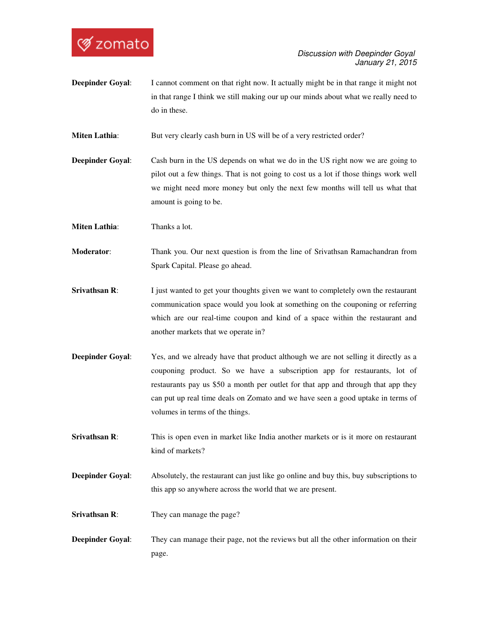

**Deepinder Goyal:** I cannot comment on that right now. It actually might be in that range it might not in that range I think we still making our up our minds about what we really need to do in these.

**Miten Lathia:** But very clearly cash burn in US will be of a very restricted order?

**Deepinder Goyal:** Cash burn in the US depends on what we do in the US right now we are going to pilot out a few things. That is not going to cost us a lot if those things work well we might need more money but only the next few months will tell us what that amount is going to be.

**Miten Lathia:** Thanks a lot.

**Moderator**: Thank you. Our next question is from the line of Srivathsan Ramachandran from Spark Capital. Please go ahead.

- **Srivathsan R:** I just wanted to get your thoughts given we want to completely own the restaurant communication space would you look at something on the couponing or referring which are our real-time coupon and kind of a space within the restaurant and another markets that we operate in?
- **Deepinder Goyal:** Yes, and we already have that product although we are not selling it directly as a couponing product. So we have a subscription app for restaurants, lot of restaurants pay us \$50 a month per outlet for that app and through that app they can put up real time deals on Zomato and we have seen a good uptake in terms of volumes in terms of the things.

**Srivathsan R:** This is open even in market like India another markets or is it more on restaurant kind of markets?

**Deepinder Goyal:** Absolutely, the restaurant can just like go online and buy this, buy subscriptions to this app so anywhere across the world that we are present.

**Srivathsan R:** They can manage the page?

**Deepinder Goyal:** They can manage their page, not the reviews but all the other information on their page.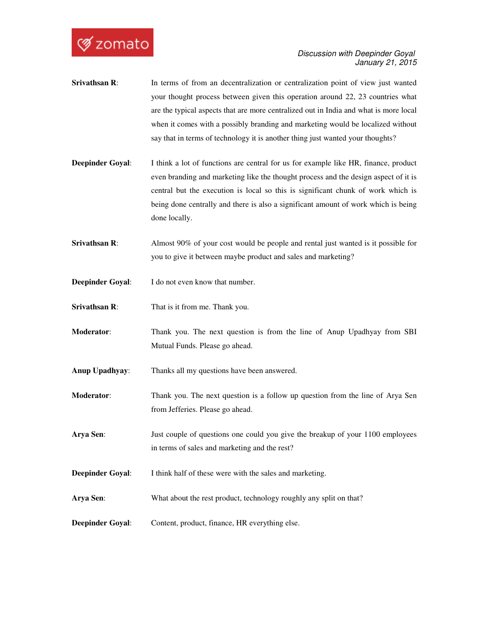

- **Srivathsan R:** In terms of from an decentralization or centralization point of view just wanted your thought process between given this operation around 22, 23 countries what are the typical aspects that are more centralized out in India and what is more local when it comes with a possibly branding and marketing would be localized without say that in terms of technology it is another thing just wanted your thoughts?
- **Deepinder Goyal:** I think a lot of functions are central for us for example like HR, finance, product even branding and marketing like the thought process and the design aspect of it is central but the execution is local so this is significant chunk of work which is being done centrally and there is also a significant amount of work which is being done locally.
- **Srivathsan R:** Almost 90% of your cost would be people and rental just wanted is it possible for you to give it between maybe product and sales and marketing?
- **Deepinder Goyal:** I do not even know that number.
- **Srivathsan R**: That is it from me. Thank you.
- **Moderator**: Thank you. The next question is from the line of Anup Upadhyay from SBI Mutual Funds. Please go ahead.
- **Anup Upadhyay**: Thanks all my questions have been answered.
- **Moderator**: Thank you. The next question is a follow up question from the line of Arya Sen from Jefferies. Please go ahead.
- **Arya Sen**: Just couple of questions one could you give the breakup of your 1100 employees in terms of sales and marketing and the rest?
- **Deepinder Goyal:** I think half of these were with the sales and marketing.
- **Arya Sen:** What about the rest product, technology roughly any split on that?
- **Deepinder Goyal:** Content, product, finance, HR everything else.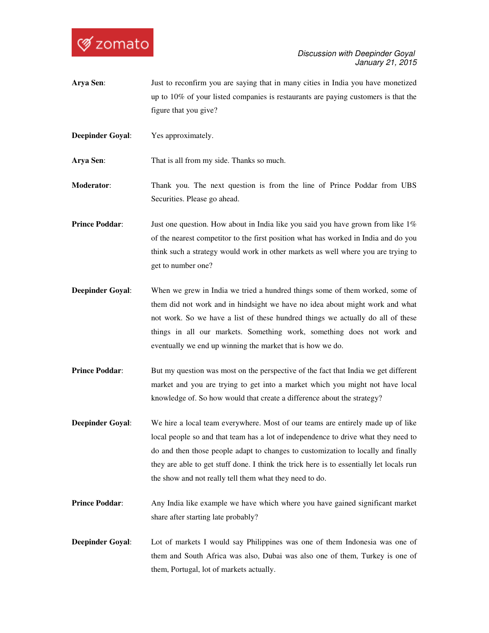

- **Arya Sen**: Just to reconfirm you are saying that in many cities in India you have monetized up to 10% of your listed companies is restaurants are paying customers is that the figure that you give?
- **Deepinder Goyal:** Yes approximately.

**Arya Sen**: That is all from my side. Thanks so much.

**Moderator**: Thank you. The next question is from the line of Prince Poddar from UBS Securities. Please go ahead.

**Prince Poddar:** Just one question. How about in India like you said you have grown from like 1% of the nearest competitor to the first position what has worked in India and do you think such a strategy would work in other markets as well where you are trying to get to number one?

- **Deepinder Goyal:** When we grew in India we tried a hundred things some of them worked, some of them did not work and in hindsight we have no idea about might work and what not work. So we have a list of these hundred things we actually do all of these things in all our markets. Something work, something does not work and eventually we end up winning the market that is how we do.
- **Prince Poddar:** But my question was most on the perspective of the fact that India we get different market and you are trying to get into a market which you might not have local knowledge of. So how would that create a difference about the strategy?
- **Deepinder Goyal**: We hire a local team everywhere. Most of our teams are entirely made up of like local people so and that team has a lot of independence to drive what they need to do and then those people adapt to changes to customization to locally and finally they are able to get stuff done. I think the trick here is to essentially let locals run the show and not really tell them what they need to do.
- **Prince Poddar:** Any India like example we have which where you have gained significant market share after starting late probably?
- **Deepinder Goyal:** Lot of markets I would say Philippines was one of them Indonesia was one of them and South Africa was also, Dubai was also one of them, Turkey is one of them, Portugal, lot of markets actually.